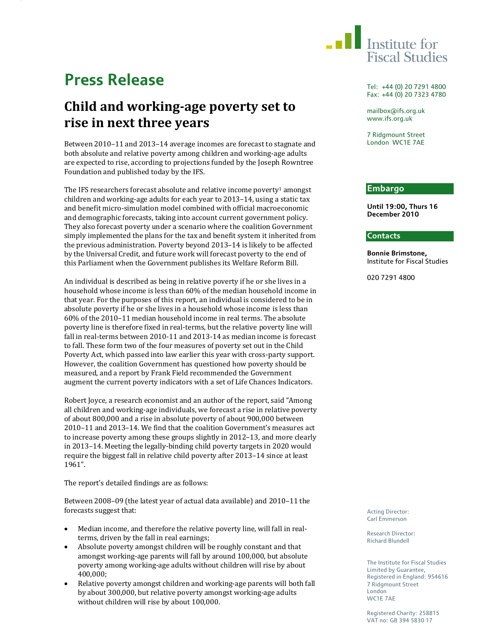

# **Press Release**

## **Child and workingage poverty set to rise in next three years**

Between 2010–11 and 2013–14 average incomes are forecast to stagnate and both absolute and relative poverty among children and working-age adults are expected to rise, according to projections funded by the Joseph Rowntree Foundation and published today by the IFS.

The IFS researchers forecast absolute and relative income poverty<sup>1</sup> amongst children and working-age adults for each year to 2013–14, using a static tax and benefit micro-simulation model combined with official macroeconomic and demographic forecasts, taking into account current government policy. They also forecast poverty under a scenario where the coalition Government simply implemented the plans for the tax and benefit system it inherited from the previous administration. Poverty beyond 2013–14 is likely to be affected by the Universal Credit, and future work will forecast poverty to the end of this Parliament when the Government publishes its Welfare Reform Bill.

An individual is described as being in relative poverty if he or she lives in a household whose income is less than 60% of the median household income in that year. For the purposes of this report, an individual is considered to be in absolute poverty if he or she lives in a household whose income is less than 60% of the 2010–11 median household income in real terms. The absolute poverty line is therefore fixed in real-terms, but the relative poverty line will fall in real-terms between 2010-11 and 2013-14 as median income is forecast to fall. These form two of the four measures of poverty set out in the Child Poverty Act, which passed into law earlier this year with cross-party support. However, the coalition Government has questioned how poverty should be measured, and a report by Frank Field recommended the Government augment the current poverty indicators with a set of Life Chances Indicators.

Robert Joyce, a research economist and an author of the report, said "Among all children and working-age individuals, we forecast a rise in relative poverty of about 800,000 and a rise in absolute poverty of about 900,000 between 2010–11 and 2013–14. We find that the coalition Government's measures act to increase poverty among these groups slightly in 2012–13, and more clearly in 2013–14. Meeting the legally-binding child poverty targets in 2020 would require the biggest fall in relative child poverty after 2013–14 since at least 1961".

The report's detailed findings are as follows:

Between 2008–09 (the latest year of actual data available) and 2010–11 the forecasts suggest that:

- Median income, and therefore the relative poverty line, will fall in realterms, driven by the fall in real earnings;
- Absolute poverty amongst children will be roughly constant and that amongst working-age parents will fall by around 100,000, but absolute poverty among working-age adults without children will rise by about 400,000;
- Relative poverty amongst children and working-age parents will both fall by about 300,000, but relative poverty amongst working-age adults without children will rise by about 100,000.

Tel: +44 (0) 20 7291 4800 Fax: +44 (0) 20 7323 4780

mailbox@ifs.org.uk www.ifs.org.uk

7 Ridgmount Street London WC1E 7AE

### **Embargo**

**Until 19:00, Thurs 16 December 2010** 

#### **Contacts**

**Bonnie Brimstone,**  Institute for Fiscal Studies

020 7291 4800

Acting Director: Carl Emmerson

Research Director: Richard Blundell

The Institute for Fiscal Studies Limited by Guarantee, Registered in England: 954616 7 Ridgmount Street London WC1E 7AE

Registered Charity: 258815 VAT no: GB 394 5830 17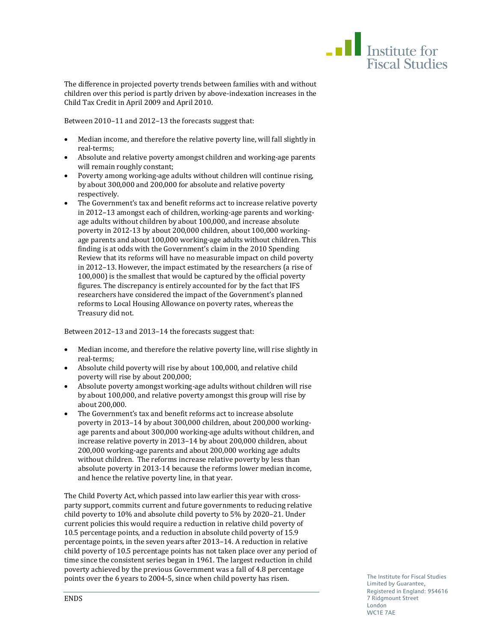

The difference in projected poverty trends between families with and without children over this period is partly driven by above-indexation increases in the Child Tax Credit in April 2009 and April 2010.

Between 2010–11 and 2012–13 the forecasts suggest that:

- Median income, and therefore the relative poverty line, will fall slightly in real-terms;
- Absolute and relative poverty amongst children and working-age parents will remain roughly constant;
- Poverty among working-age adults without children will continue rising, by about 300,000 and 200,000 for absolute and relative poverty respectively.
- The Government's tax and benefit reforms act to increase relative poverty in 2012–13 amongst each of children, working-age parents and workingage adults without children by about 100,000, and increase absolute poverty in 2012-13 by about 200,000 children, about 100,000 workingage parents and about 100,000 working-age adults without children. This finding is at odds with the Government's claim in the 2010 Spending Review that its reforms will have no measurable impact on child poverty in 2012–13. However, the impact estimated by the researchers (a rise of 100,000) is the smallest that would be captured by the official poverty figures. The discrepancy is entirely accounted for by the fact that IFS researchers have considered the impact of the Government's planned reforms to Local Housing Allowance on poverty rates, whereas the Treasury did not.

Between 2012–13 and 2013–14 the forecasts suggest that:

- Median income, and therefore the relative poverty line, will rise slightly in real-terms;
- Absolute child poverty will rise by about 100,000, and relative child poverty will rise by about 200,000;
- Absolute poverty amongst working-age adults without children will rise by about 100,000, and relative poverty amongst this group will rise by about 200,000.
- The Government's tax and benefit reforms act to increase absolute poverty in 2013–14 by about 300,000 children, about 200,000 workingage parents and about 300,000 working-age adults without children, and increase relative poverty in 2013–14 by about 200,000 children, about 200,000 working-age parents and about 200,000 working age adults without children. The reforms increase relative poverty by less than absolute poverty in 2013-14 because the reforms lower median income, and hence the relative poverty line, in that year.

The Child Poverty Act, which passed into law earlier this year with crossparty support, commits current and future governments to reducing relative child poverty to 10% and absolute child poverty to 5% by 2020–21. Under current policies this would require a reduction in relative child poverty of 10.5 percentage points, and a reduction in absolute child poverty of 15.9 percentage points, in the seven years after 2013–14. A reduction in relative child poverty of 10.5 percentage points has not taken place over any period of time since the consistent series began in 1961. The largest reduction in child poverty achieved by the previous Government was a fall of 4.8 percentage points over the 6 years to 2004-5, since when child poverty has risen.